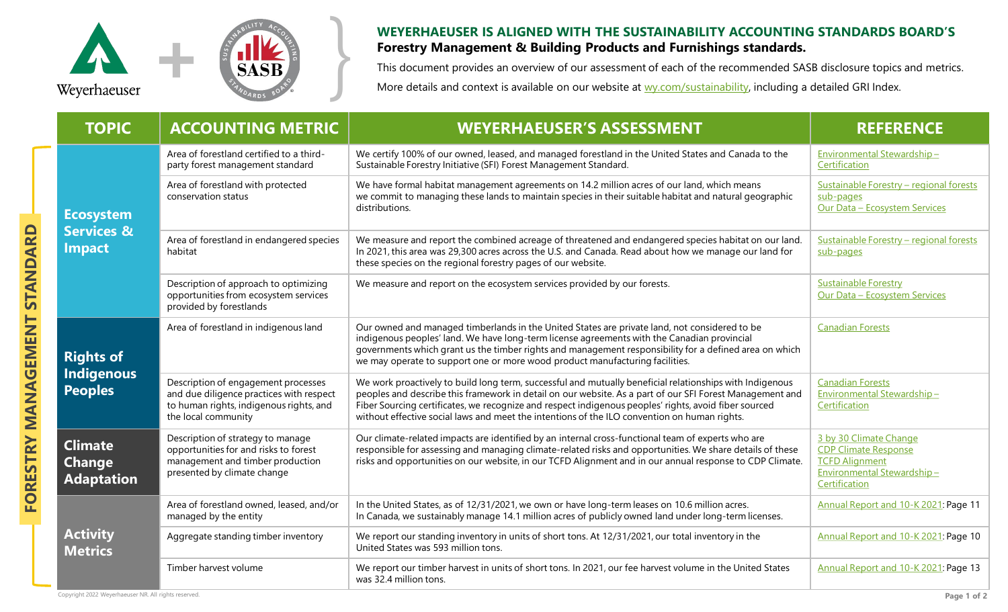

## **WEYERHAEUSER IS ALIGNED WITH THE SUSTAINABILITY ACCOUNTING STANDARDS BOARD'S**<br>**Forestry Management & Building Products and Furnishings standards.**<br>This document provides an overview of our assessment of each of the recomm **Forestry Management & Building Products and Furnishings standards.**

This document provides an overview of our assessment of each of the recommended SASB disclosure topics and metrics. More details and context is available on our website at [wy.com/sustainability,](http://www.wy.com/sustainability) including a detailed GRI Index.

| <b>TOPIC</b>                                               | <b>ACCOUNTING METRIC</b>                                                                                                                          | <b>WEYERHAEUSER'S ASSESSMENT</b>                                                                                                                                                                                                                                                                                                                                                                                              | <b>REFERENCE</b>                                                                                                              |
|------------------------------------------------------------|---------------------------------------------------------------------------------------------------------------------------------------------------|-------------------------------------------------------------------------------------------------------------------------------------------------------------------------------------------------------------------------------------------------------------------------------------------------------------------------------------------------------------------------------------------------------------------------------|-------------------------------------------------------------------------------------------------------------------------------|
| <b>Ecosystem</b><br><b>Services &amp;</b><br><b>Impact</b> | Area of forestland certified to a third-<br>party forest management standard                                                                      | We certify 100% of our owned, leased, and managed forestland in the United States and Canada to the<br>Sustainable Forestry Initiative (SFI) Forest Management Standard.                                                                                                                                                                                                                                                      | Environmental Stewardship-<br>Certification                                                                                   |
|                                                            | Area of forestland with protected<br>conservation status                                                                                          | We have formal habitat management agreements on 14.2 million acres of our land, which means<br>we commit to managing these lands to maintain species in their suitable habitat and natural geographic<br>distributions.                                                                                                                                                                                                       | Sustainable Forestry - regional forests<br>sub-pages<br><b>Our Data - Ecosystem Services</b>                                  |
|                                                            | Area of forestland in endangered species<br>habitat                                                                                               | We measure and report the combined acreage of threatened and endangered species habitat on our land.<br>In 2021, this area was 29,300 acres across the U.S. and Canada. Read about how we manage our land for<br>these species on the regional forestry pages of our website.                                                                                                                                                 | Sustainable Forestry - regional forests<br>sub-pages                                                                          |
|                                                            | Description of approach to optimizing<br>opportunities from ecosystem services<br>provided by forestlands                                         | We measure and report on the ecosystem services provided by our forests.                                                                                                                                                                                                                                                                                                                                                      | <b>Sustainable Forestry</b><br>Our Data - Ecosystem Services                                                                  |
| <b>Rights of</b><br><b>Indigenous</b><br><b>Peoples</b>    | Area of forestland in indigenous land                                                                                                             | Our owned and managed timberlands in the United States are private land, not considered to be<br>indigenous peoples' land. We have long-term license agreements with the Canadian provincial<br>governments which grant us the timber rights and management responsibility for a defined area on which<br>we may operate to support one or more wood product manufacturing facilities.                                        | <b>Canadian Forests</b>                                                                                                       |
|                                                            | Description of engagement processes<br>and due diligence practices with respect<br>to human rights, indigenous rights, and<br>the local community | We work proactively to build long term, successful and mutually beneficial relationships with Indigenous<br>peoples and describe this framework in detail on our website. As a part of our SFI Forest Management and<br>Fiber Sourcing certificates, we recognize and respect indigenous peoples' rights, avoid fiber sourced<br>without effective social laws and meet the intentions of the ILO convention on human rights. | <b>Canadian Forests</b><br>Environmental Stewardship-<br>Certification                                                        |
| <b>Climate</b><br><b>Change</b><br><b>Adaptation</b>       | Description of strategy to manage<br>opportunities for and risks to forest<br>management and timber production<br>presented by climate change     | Our climate-related impacts are identified by an internal cross-functional team of experts who are<br>responsible for assessing and managing climate-related risks and opportunities. We share details of these<br>risks and opportunities on our website, in our TCFD Alignment and in our annual response to CDP Climate.                                                                                                   | 3 by 30 Climate Change<br><b>CDP Climate Response</b><br><b>TCFD Alignment</b><br>Environmental Stewardship-<br>Certification |
| <b>Activity</b><br><b>Metrics</b>                          | Area of forestland owned, leased, and/or<br>managed by the entity                                                                                 | In the United States, as of 12/31/2021, we own or have long-term leases on 10.6 million acres.<br>In Canada, we sustainably manage 14.1 million acres of publicly owned land under long-term licenses.                                                                                                                                                                                                                        | Annual Report and 10-K 2021: Page 11                                                                                          |
|                                                            | Aggregate standing timber inventory                                                                                                               | We report our standing inventory in units of short tons. At 12/31/2021, our total inventory in the<br>United States was 593 million tons.                                                                                                                                                                                                                                                                                     | Annual Report and 10-K 2021: Page 10                                                                                          |
|                                                            | Timber harvest volume                                                                                                                             | We report our timber harvest in units of short tons. In 2021, our fee harvest volume in the United States<br>was 32.4 million tons.                                                                                                                                                                                                                                                                                           | Annual Report and 10-K 2021: Page 13                                                                                          |

**FORESTRY MANAGEMENT STANDARD**

FORESTRY MANAGEMENT STANDARD